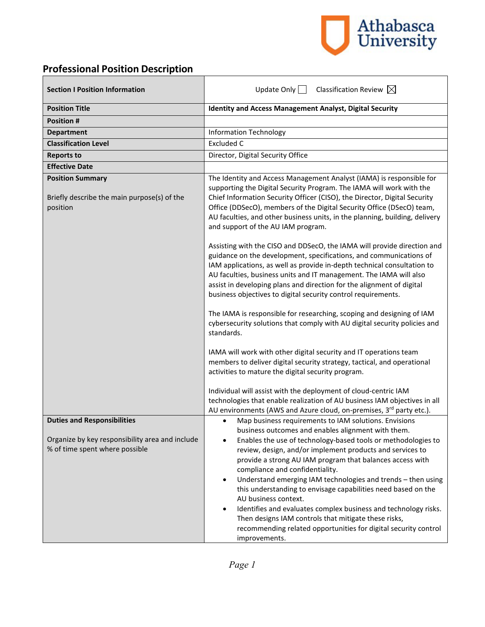

# **Professional Position Description**

| <b>Section I Position Information</b>                                                                                   | Update Only $\Box$<br>Classification Review $\boxtimes$                                                                                                                                                                                                                                                                                                                                                                                                                                                                                                                                                                                                                                                                                                  |
|-------------------------------------------------------------------------------------------------------------------------|----------------------------------------------------------------------------------------------------------------------------------------------------------------------------------------------------------------------------------------------------------------------------------------------------------------------------------------------------------------------------------------------------------------------------------------------------------------------------------------------------------------------------------------------------------------------------------------------------------------------------------------------------------------------------------------------------------------------------------------------------------|
| <b>Position Title</b>                                                                                                   | <b>Identity and Access Management Analyst, Digital Security</b>                                                                                                                                                                                                                                                                                                                                                                                                                                                                                                                                                                                                                                                                                          |
| <b>Position #</b>                                                                                                       |                                                                                                                                                                                                                                                                                                                                                                                                                                                                                                                                                                                                                                                                                                                                                          |
| <b>Department</b>                                                                                                       | <b>Information Technology</b>                                                                                                                                                                                                                                                                                                                                                                                                                                                                                                                                                                                                                                                                                                                            |
| <b>Classification Level</b>                                                                                             | <b>Excluded C</b>                                                                                                                                                                                                                                                                                                                                                                                                                                                                                                                                                                                                                                                                                                                                        |
| <b>Reports to</b>                                                                                                       | Director, Digital Security Office                                                                                                                                                                                                                                                                                                                                                                                                                                                                                                                                                                                                                                                                                                                        |
| <b>Effective Date</b>                                                                                                   |                                                                                                                                                                                                                                                                                                                                                                                                                                                                                                                                                                                                                                                                                                                                                          |
| <b>Position Summary</b><br>Briefly describe the main purpose(s) of the<br>position                                      | The Identity and Access Management Analyst (IAMA) is responsible for<br>supporting the Digital Security Program. The IAMA will work with the<br>Chief Information Security Officer (CISO), the Director, Digital Security<br>Office (DDSecO), members of the Digital Security Office (DSecO) team,<br>AU faculties, and other business units, in the planning, building, delivery<br>and support of the AU IAM program.                                                                                                                                                                                                                                                                                                                                  |
|                                                                                                                         | Assisting with the CISO and DDSecO, the IAMA will provide direction and<br>guidance on the development, specifications, and communications of<br>IAM applications, as well as provide in-depth technical consultation to<br>AU faculties, business units and IT management. The IAMA will also<br>assist in developing plans and direction for the alignment of digital<br>business objectives to digital security control requirements.                                                                                                                                                                                                                                                                                                                 |
|                                                                                                                         | The IAMA is responsible for researching, scoping and designing of IAM<br>cybersecurity solutions that comply with AU digital security policies and<br>standards.                                                                                                                                                                                                                                                                                                                                                                                                                                                                                                                                                                                         |
|                                                                                                                         | IAMA will work with other digital security and IT operations team<br>members to deliver digital security strategy, tactical, and operational<br>activities to mature the digital security program.                                                                                                                                                                                                                                                                                                                                                                                                                                                                                                                                                       |
|                                                                                                                         | Individual will assist with the deployment of cloud-centric IAM<br>technologies that enable realization of AU business IAM objectives in all<br>AU environments (AWS and Azure cloud, on-premises, 3rd party etc.).                                                                                                                                                                                                                                                                                                                                                                                                                                                                                                                                      |
| <b>Duties and Responsibilities</b><br>Organize by key responsibility area and include<br>% of time spent where possible | Map business requirements to IAM solutions. Envisions<br>$\bullet$<br>business outcomes and enables alignment with them.<br>Enables the use of technology-based tools or methodologies to<br>review, design, and/or implement products and services to<br>provide a strong AU IAM program that balances access with<br>compliance and confidentiality.<br>Understand emerging IAM technologies and trends - then using<br>$\bullet$<br>this understanding to envisage capabilities need based on the<br>AU business context.<br>Identifies and evaluates complex business and technology risks.<br>$\bullet$<br>Then designs IAM controls that mitigate these risks,<br>recommending related opportunities for digital security control<br>improvements. |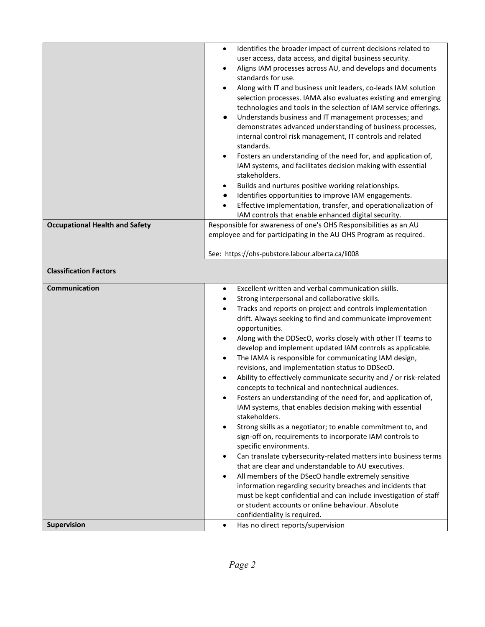|                                       | Identifies the broader impact of current decisions related to<br>$\bullet$<br>user access, data access, and digital business security.<br>Aligns IAM processes across AU, and develops and documents<br>$\bullet$<br>standards for use.<br>Along with IT and business unit leaders, co-leads IAM solution<br>$\bullet$<br>selection processes. IAMA also evaluates existing and emerging<br>technologies and tools in the selection of IAM service offerings.<br>Understands business and IT management processes; and<br>$\bullet$<br>demonstrates advanced understanding of business processes,<br>internal control risk management, IT controls and related<br>standards.<br>Fosters an understanding of the need for, and application of,<br>$\bullet$<br>IAM systems, and facilitates decision making with essential<br>stakeholders.<br>Builds and nurtures positive working relationships.<br>$\bullet$<br>Identifies opportunities to improve IAM engagements.<br>$\bullet$<br>Effective implementation, transfer, and operationalization of<br>$\bullet$<br>IAM controls that enable enhanced digital security. |
|---------------------------------------|--------------------------------------------------------------------------------------------------------------------------------------------------------------------------------------------------------------------------------------------------------------------------------------------------------------------------------------------------------------------------------------------------------------------------------------------------------------------------------------------------------------------------------------------------------------------------------------------------------------------------------------------------------------------------------------------------------------------------------------------------------------------------------------------------------------------------------------------------------------------------------------------------------------------------------------------------------------------------------------------------------------------------------------------------------------------------------------------------------------------------|
| <b>Occupational Health and Safety</b> | Responsible for awareness of one's OHS Responsibilities as an AU                                                                                                                                                                                                                                                                                                                                                                                                                                                                                                                                                                                                                                                                                                                                                                                                                                                                                                                                                                                                                                                         |
|                                       | employee and for participating in the AU OHS Program as required.                                                                                                                                                                                                                                                                                                                                                                                                                                                                                                                                                                                                                                                                                                                                                                                                                                                                                                                                                                                                                                                        |
|                                       |                                                                                                                                                                                                                                                                                                                                                                                                                                                                                                                                                                                                                                                                                                                                                                                                                                                                                                                                                                                                                                                                                                                          |
|                                       | See: https://ohs-pubstore.labour.alberta.ca/li008                                                                                                                                                                                                                                                                                                                                                                                                                                                                                                                                                                                                                                                                                                                                                                                                                                                                                                                                                                                                                                                                        |
| <b>Classification Factors</b>         |                                                                                                                                                                                                                                                                                                                                                                                                                                                                                                                                                                                                                                                                                                                                                                                                                                                                                                                                                                                                                                                                                                                          |
| Communication                         | Excellent written and verbal communication skills.<br>$\bullet$<br>Strong interpersonal and collaborative skills.<br>$\bullet$                                                                                                                                                                                                                                                                                                                                                                                                                                                                                                                                                                                                                                                                                                                                                                                                                                                                                                                                                                                           |
|                                       | Tracks and reports on project and controls implementation<br>$\bullet$<br>drift. Always seeking to find and communicate improvement<br>opportunities.<br>Along with the DDSecO, works closely with other IT teams to<br>٠<br>develop and implement updated IAM controls as applicable.<br>The IAMA is responsible for communicating IAM design,<br>$\bullet$<br>revisions, and implementation status to DDSecO.                                                                                                                                                                                                                                                                                                                                                                                                                                                                                                                                                                                                                                                                                                          |
|                                       | Ability to effectively communicate security and / or risk-related<br>concepts to technical and nontechnical audiences.                                                                                                                                                                                                                                                                                                                                                                                                                                                                                                                                                                                                                                                                                                                                                                                                                                                                                                                                                                                                   |
|                                       | Fosters an understanding of the need for, and application of,<br>٠<br>IAM systems, that enables decision making with essential<br>stakeholders.                                                                                                                                                                                                                                                                                                                                                                                                                                                                                                                                                                                                                                                                                                                                                                                                                                                                                                                                                                          |
|                                       | Strong skills as a negotiator; to enable commitment to, and<br>$\bullet$<br>sign-off on, requirements to incorporate IAM controls to<br>specific environments.                                                                                                                                                                                                                                                                                                                                                                                                                                                                                                                                                                                                                                                                                                                                                                                                                                                                                                                                                           |
|                                       | Can translate cybersecurity-related matters into business terms<br>$\bullet$                                                                                                                                                                                                                                                                                                                                                                                                                                                                                                                                                                                                                                                                                                                                                                                                                                                                                                                                                                                                                                             |
|                                       | that are clear and understandable to AU executives.<br>All members of the DSecO handle extremely sensitive<br>$\bullet$                                                                                                                                                                                                                                                                                                                                                                                                                                                                                                                                                                                                                                                                                                                                                                                                                                                                                                                                                                                                  |
|                                       | information regarding security breaches and incidents that<br>must be kept confidential and can include investigation of staff<br>or student accounts or online behaviour. Absolute                                                                                                                                                                                                                                                                                                                                                                                                                                                                                                                                                                                                                                                                                                                                                                                                                                                                                                                                      |
| Supervision                           | confidentiality is required.<br>Has no direct reports/supervision<br>$\bullet$                                                                                                                                                                                                                                                                                                                                                                                                                                                                                                                                                                                                                                                                                                                                                                                                                                                                                                                                                                                                                                           |
|                                       |                                                                                                                                                                                                                                                                                                                                                                                                                                                                                                                                                                                                                                                                                                                                                                                                                                                                                                                                                                                                                                                                                                                          |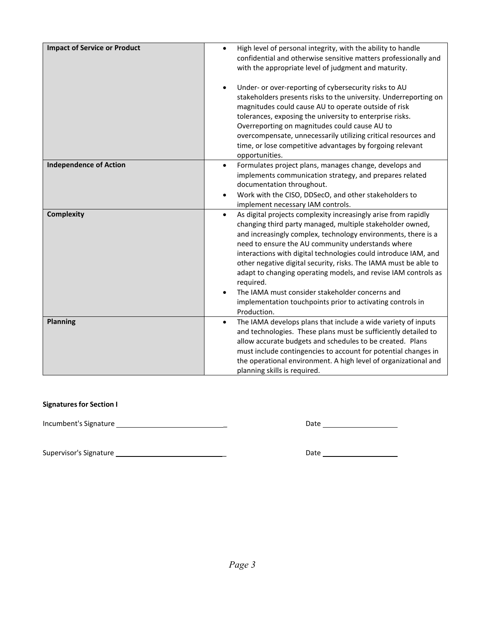| <b>Impact of Service or Product</b> | High level of personal integrity, with the ability to handle<br>$\bullet$<br>confidential and otherwise sensitive matters professionally and<br>with the appropriate level of judgment and maturity.                                                                                                                                                                                                                                                                                                                                                                                                                                                      |
|-------------------------------------|-----------------------------------------------------------------------------------------------------------------------------------------------------------------------------------------------------------------------------------------------------------------------------------------------------------------------------------------------------------------------------------------------------------------------------------------------------------------------------------------------------------------------------------------------------------------------------------------------------------------------------------------------------------|
|                                     | Under- or over-reporting of cybersecurity risks to AU<br>stakeholders presents risks to the university. Underreporting on<br>magnitudes could cause AU to operate outside of risk<br>tolerances, exposing the university to enterprise risks.<br>Overreporting on magnitudes could cause AU to<br>overcompensate, unnecessarily utilizing critical resources and<br>time, or lose competitive advantages by forgoing relevant<br>opportunities.                                                                                                                                                                                                           |
| <b>Independence of Action</b>       | Formulates project plans, manages change, develops and<br>$\bullet$<br>implements communication strategy, and prepares related<br>documentation throughout.<br>Work with the CISO, DDSecO, and other stakeholders to                                                                                                                                                                                                                                                                                                                                                                                                                                      |
| <b>Complexity</b>                   | implement necessary IAM controls.<br>As digital projects complexity increasingly arise from rapidly<br>$\bullet$<br>changing third party managed, multiple stakeholder owned,<br>and increasingly complex, technology environments, there is a<br>need to ensure the AU community understands where<br>interactions with digital technologies could introduce IAM, and<br>other negative digital security, risks. The IAMA must be able to<br>adapt to changing operating models, and revise IAM controls as<br>required.<br>The IAMA must consider stakeholder concerns and<br>implementation touchpoints prior to activating controls in<br>Production. |
| Planning                            | The IAMA develops plans that include a wide variety of inputs<br>$\bullet$<br>and technologies. These plans must be sufficiently detailed to<br>allow accurate budgets and schedules to be created. Plans<br>must include contingencies to account for potential changes in<br>the operational environment. A high level of organizational and<br>planning skills is required.                                                                                                                                                                                                                                                                            |

# **Signatures for Section I**

Incumbent's Signature \_ Date

Supervisor's Signature \_ Date